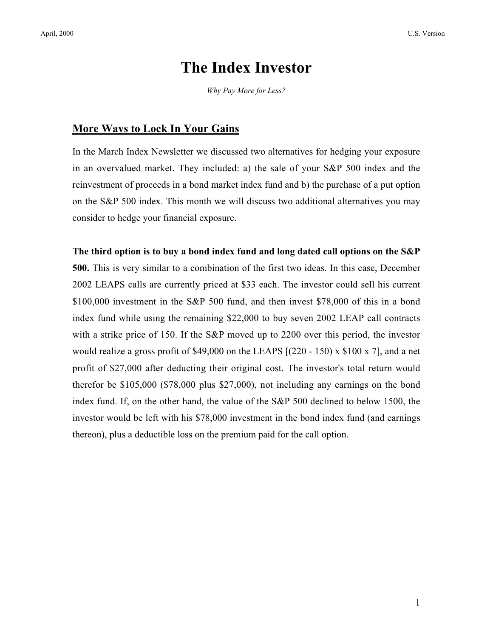## **The Index Investor**

*Why Pay More for Less?*

## **More Ways to Lock In Your Gains**

In the March Index Newsletter we discussed two alternatives for hedging your exposure in an overvalued market. They included: a) the sale of your S&P 500 index and the reinvestment of proceeds in a bond market index fund and b) the purchase of a put option on the S&P 500 index. This month we will discuss two additional alternatives you may consider to hedge your financial exposure.

## **The third option is to buy a bond index fund and long dated call options on the S&P**

**500.** This is very similar to a combination of the first two ideas. In this case, December 2002 LEAPS calls are currently priced at \$33 each. The investor could sell his current \$100,000 investment in the S&P 500 fund, and then invest \$78,000 of this in a bond index fund while using the remaining \$22,000 to buy seven 2002 LEAP call contracts with a strike price of 150. If the S&P moved up to 2200 over this period, the investor would realize a gross profit of \$49,000 on the LEAPS [(220 - 150) x \$100 x 7], and a net profit of \$27,000 after deducting their original cost. The investor's total return would therefor be \$105,000 (\$78,000 plus \$27,000), not including any earnings on the bond index fund. If, on the other hand, the value of the S&P 500 declined to below 1500, the investor would be left with his \$78,000 investment in the bond index fund (and earnings thereon), plus a deductible loss on the premium paid for the call option.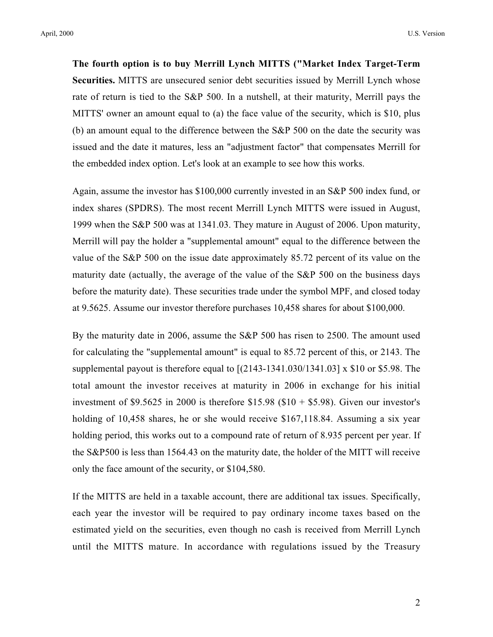**The fourth option is to buy Merrill Lynch MITTS ("Market Index Target-Term Securities.** MITTS are unsecured senior debt securities issued by Merrill Lynch whose rate of return is tied to the S&P 500. In a nutshell, at their maturity, Merrill pays the MITTS' owner an amount equal to (a) the face value of the security, which is \$10, plus (b) an amount equal to the difference between the S&P 500 on the date the security was issued and the date it matures, less an "adjustment factor" that compensates Merrill for the embedded index option. Let's look at an example to see how this works.

Again, assume the investor has \$100,000 currently invested in an S&P 500 index fund, or index shares (SPDRS). The most recent Merrill Lynch MITTS were issued in August, 1999 when the S&P 500 was at 1341.03. They mature in August of 2006. Upon maturity, Merrill will pay the holder a "supplemental amount" equal to the difference between the value of the S&P 500 on the issue date approximately 85.72 percent of its value on the maturity date (actually, the average of the value of the S&P 500 on the business days before the maturity date). These securities trade under the symbol MPF, and closed today at 9.5625. Assume our investor therefore purchases 10,458 shares for about \$100,000.

By the maturity date in 2006, assume the S&P 500 has risen to 2500. The amount used for calculating the "supplemental amount" is equal to 85.72 percent of this, or 2143. The supplemental payout is therefore equal to  $[(2143-1341.030/1341.03] \times $10$  or \$5.98. The total amount the investor receives at maturity in 2006 in exchange for his initial investment of \$9.5625 in 2000 is therefore  $$15.98$  (\$10 + \$5.98). Given our investor's holding of 10,458 shares, he or she would receive \$167,118.84. Assuming a six year holding period, this works out to a compound rate of return of 8.935 percent per year. If the S&P500 is less than 1564.43 on the maturity date, the holder of the MITT will receive only the face amount of the security, or \$104,580.

If the MITTS are held in a taxable account, there are additional tax issues. Specifically, each year the investor will be required to pay ordinary income taxes based on the estimated yield on the securities, even though no cash is received from Merrill Lynch until the MITTS mature. In accordance with regulations issued by the Treasury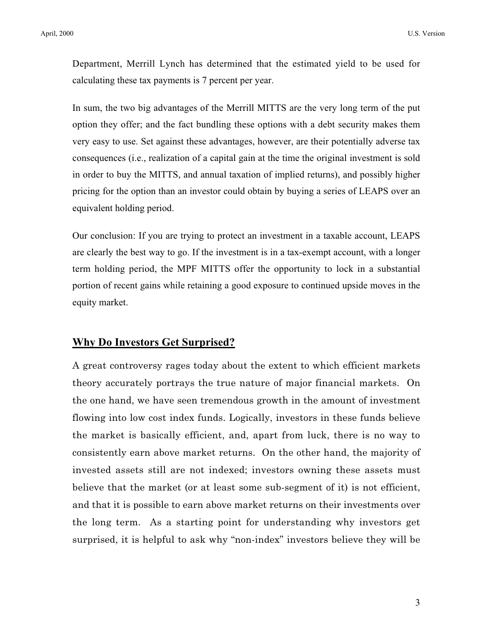Department, Merrill Lynch has determined that the estimated yield to be used for calculating these tax payments is 7 percent per year.

In sum, the two big advantages of the Merrill MITTS are the very long term of the put option they offer; and the fact bundling these options with a debt security makes them very easy to use. Set against these advantages, however, are their potentially adverse tax consequences (i.e., realization of a capital gain at the time the original investment is sold in order to buy the MITTS, and annual taxation of implied returns), and possibly higher pricing for the option than an investor could obtain by buying a series of LEAPS over an equivalent holding period.

Our conclusion: If you are trying to protect an investment in a taxable account, LEAPS are clearly the best way to go. If the investment is in a tax-exempt account, with a longer term holding period, the MPF MITTS offer the opportunity to lock in a substantial portion of recent gains while retaining a good exposure to continued upside moves in the equity market.

## **Why Do Investors Get Surprised?**

A great controversy rages today about the extent to which efficient markets theory accurately portrays the true nature of major financial markets. On the one hand, we have seen tremendous growth in the amount of investment flowing into low cost index funds. Logically, investors in these funds believe the market is basically efficient, and, apart from luck, there is no way to consistently earn above market returns. On the other hand, the majority of invested assets still are not indexed; investors owning these assets must believe that the market (or at least some sub-segment of it) is not efficient, and that it is possible to earn above market returns on their investments over the long term. As a starting point for understanding why investors get surprised, it is helpful to ask why "non-index" investors believe they will be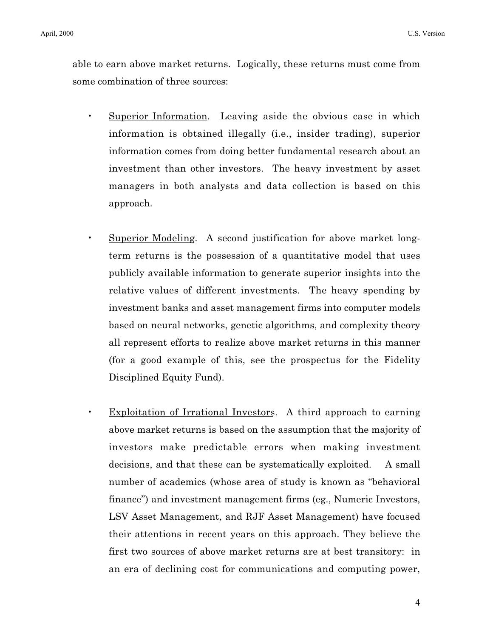able to earn above market returns. Logically, these returns must come from some combination of three sources:

- Superior Information. Leaving aside the obvious case in which information is obtained illegally (i.e., insider trading), superior information comes from doing better fundamental research about an investment than other investors. The heavy investment by asset managers in both analysts and data collection is based on this approach.
- Superior Modeling. A second justification for above market longterm returns is the possession of a quantitative model that uses publicly available information to generate superior insights into the relative values of different investments. The heavy spending by investment banks and asset management firms into computer models based on neural networks, genetic algorithms, and complexity theory all represent efforts to realize above market returns in this manner (for a good example of this, see the prospectus for the Fidelity Disciplined Equity Fund).
- Exploitation of Irrational Investors. A third approach to earning above market returns is based on the assumption that the majority of investors make predictable errors when making investment decisions, and that these can be systematically exploited. A small number of academics (whose area of study is known as "behavioral finance") and investment management firms (eg., Numeric Investors, LSV Asset Management, and RJF Asset Management) have focused their attentions in recent years on this approach. They believe the first two sources of above market returns are at best transitory: in an era of declining cost for communications and computing power,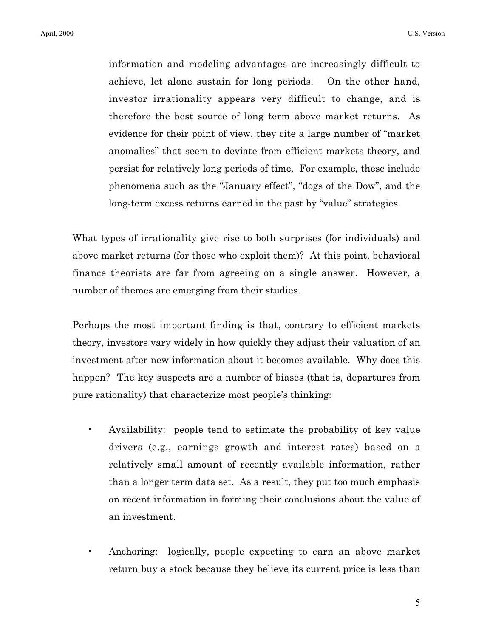information and modeling advantages are increasingly difficult to achieve, let alone sustain for long periods. On the other hand, investor irrationality appears very difficult to change, and is therefore the best source of long term above market returns. As evidence for their point of view, they cite a large number of "market anomalies" that seem to deviate from efficient markets theory, and persist for relatively long periods of time. For example, these include phenomena such as the "January effect", "dogs of the Dow", and the long-term excess returns earned in the past by "value" strategies.

What types of irrationality give rise to both surprises (for individuals) and above market returns (for those who exploit them)? At this point, behavioral finance theorists are far from agreeing on a single answer. However, a number of themes are emerging from their studies.

Perhaps the most important finding is that, contrary to efficient markets theory, investors vary widely in how quickly they adjust their valuation of an investment after new information about it becomes available. Why does this happen? The key suspects are a number of biases (that is, departures from pure rationality) that characterize most people's thinking:

- Availability: people tend to estimate the probability of key value drivers (e.g., earnings growth and interest rates) based on a relatively small amount of recently available information, rather than a longer term data set. As a result, they put too much emphasis on recent information in forming their conclusions about the value of an investment.
- Anchoring: logically, people expecting to earn an above market return buy a stock because they believe its current price is less than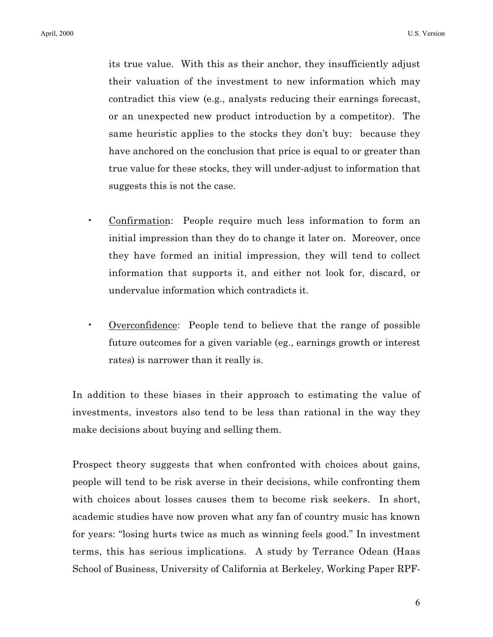its true value. With this as their anchor, they insufficiently adjust their valuation of the investment to new information which may contradict this view (e.g., analysts reducing their earnings forecast, or an unexpected new product introduction by a competitor). The same heuristic applies to the stocks they don't buy: because they have anchored on the conclusion that price is equal to or greater than true value for these stocks, they will under-adjust to information that suggests this is not the case.

- Confirmation: People require much less information to form an initial impression than they do to change it later on. Moreover, once they have formed an initial impression, they will tend to collect information that supports it, and either not look for, discard, or undervalue information which contradicts it.
- Overconfidence: People tend to believe that the range of possible future outcomes for a given variable (eg., earnings growth or interest rates) is narrower than it really is.

In addition to these biases in their approach to estimating the value of investments, investors also tend to be less than rational in the way they make decisions about buying and selling them.

Prospect theory suggests that when confronted with choices about gains, people will tend to be risk averse in their decisions, while confronting them with choices about losses causes them to become risk seekers. In short, academic studies have now proven what any fan of country music has known for years: "losing hurts twice as much as winning feels good." In investment terms, this has serious implications. A study by Terrance Odean (Haas School of Business, University of California at Berkeley, Working Paper RPF-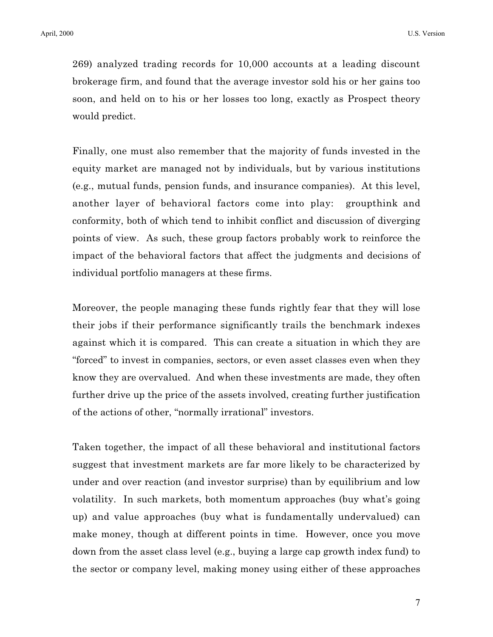269) analyzed trading records for 10,000 accounts at a leading discount brokerage firm, and found that the average investor sold his or her gains too soon, and held on to his or her losses too long, exactly as Prospect theory would predict.

Finally, one must also remember that the majority of funds invested in the equity market are managed not by individuals, but by various institutions (e.g., mutual funds, pension funds, and insurance companies). At this level, another layer of behavioral factors come into play: groupthink and conformity, both of which tend to inhibit conflict and discussion of diverging points of view. As such, these group factors probably work to reinforce the impact of the behavioral factors that affect the judgments and decisions of individual portfolio managers at these firms.

Moreover, the people managing these funds rightly fear that they will lose their jobs if their performance significantly trails the benchmark indexes against which it is compared. This can create a situation in which they are "forced" to invest in companies, sectors, or even asset classes even when they know they are overvalued. And when these investments are made, they often further drive up the price of the assets involved, creating further justification of the actions of other, "normally irrational" investors.

Taken together, the impact of all these behavioral and institutional factors suggest that investment markets are far more likely to be characterized by under and over reaction (and investor surprise) than by equilibrium and low volatility. In such markets, both momentum approaches (buy what's going up) and value approaches (buy what is fundamentally undervalued) can make money, though at different points in time. However, once you move down from the asset class level (e.g., buying a large cap growth index fund) to the sector or company level, making money using either of these approaches